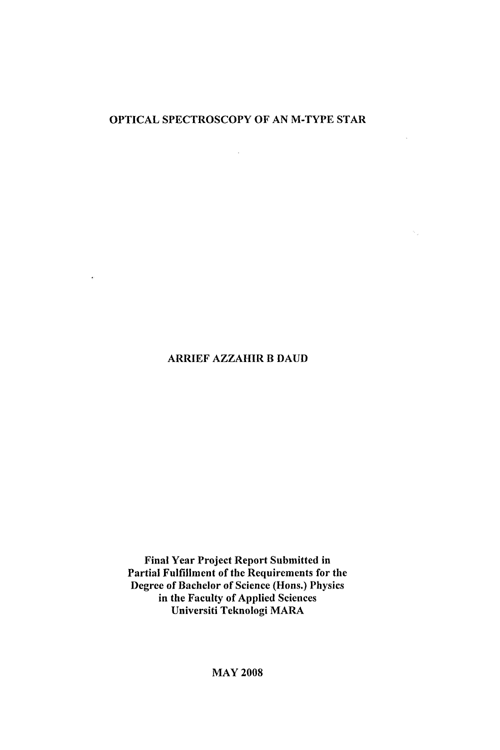## OPTICAL SPECTROSCOPY OF AN M-TYPE STAR

 $\mathcal{L}^{\text{max}}_{\text{max}}$  and  $\mathcal{L}^{\text{max}}_{\text{max}}$ 

 $\mathcal{L}_{\mathbf{A}}$  .

 $\mathcal{O}_{\mathcal{A}}$  .

#### ARRIEF AZZAHIR B DAUD

 $\mathcal{L} = \frac{1}{2} \mathcal{L} \left( \mathcal{L} \right)$  , where  $\mathcal{L} \left( \mathcal{L} \right)$ 

Final Year Project Report Submitted in Partial Fulfillment of the Requirements for the Degree of Bachelor of Science (Hons.) Physics in the Faculty of Applied Sciences Universiti Teknologi MARA

MAY 2008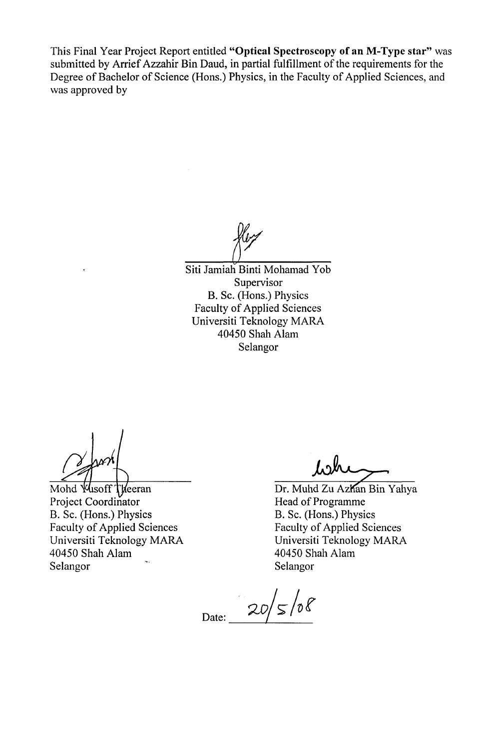This Final Year Project Report entitled **"Optical Spectroscopy of an M-Type star"** was submitted by Arrief Azzahir Bin Daud, in partial fulfillment of the requirements for the Degree of Bachelor of Science (Hons.) Physics, in the Faculty of Applied Sciences, and was approved by

Siti Jamiah Binti Mohamad Yob Supervisor B. Sc. (Hons.) Physics Faculty of Applied Sciences Universiti Teknology MARA 40450 Shah Alam Selangor

Mohd *Vusoff* Theeran Project Coordinator B. Sc. (Hons.) Physics Faculty of Applied Sciences Universiti Teknology MARA 40450 Shah Alam Selangor

**Jbdk\*^r~>** 

Dr. Muhd Zu Azhan Bin Yahya Head of Programme B. Sc. (Hons.) Physics Faculty of Applied Sciences Universiti Teknology MARA 40450 Shah Alam Selangor

 $20/5/08$ Date: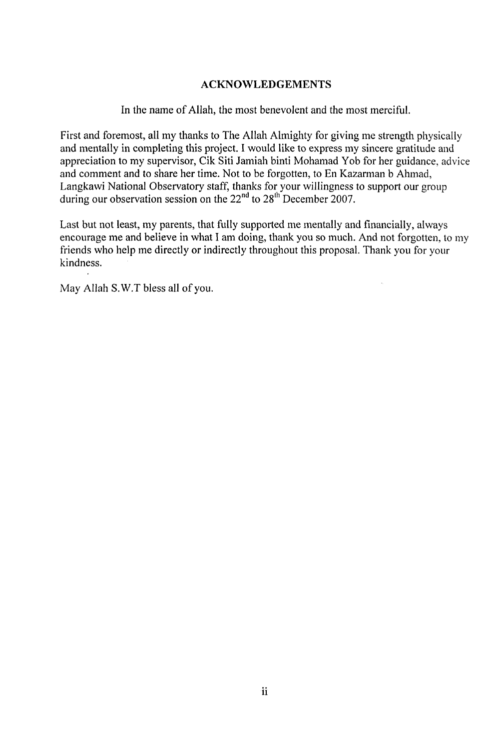### ACKNOWLEDGEMENTS

In the name of Allah, the most benevolent and the most merciful.

First and foremost, all my thanks to The Allah Almighty for giving me strength physically and mentally in completing this project. I would like to express my sincere gratitude and appreciation to my supervisor, Cik Siti Jamiah binti Mohamad Yob for her guidance, advice and comment and to share her time. Not to be forgotten, to En Kazarman b Ahmad, Langkawi National Observatory staff, thanks for your willingness to support our group during our observation session on the  $22<sup>nd</sup>$  to  $28<sup>th</sup>$  December 2007.

Last but not least, my parents, that fully supported me mentally and financially, always encourage me and believe in what I am doing, thank you so much. And not forgotten, to my friends who help me directly or indirectly throughout this proposal. Thank you for your kindness.

May Allah S.W.T bless all of you.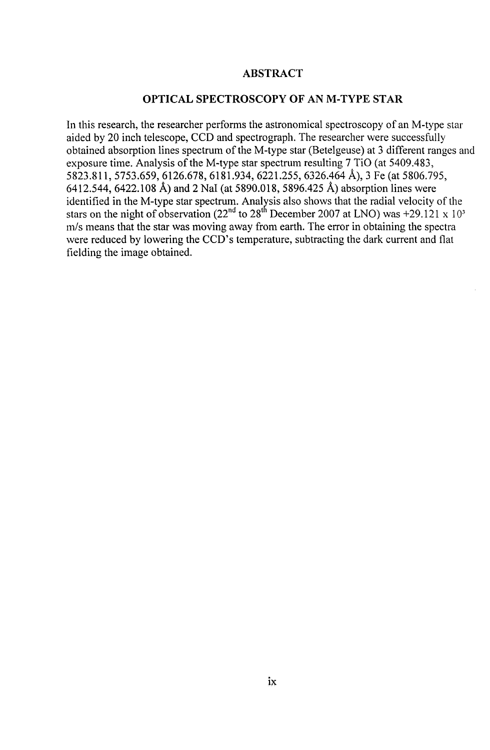#### **ABSTRACT**

#### **OPTICAL SPECTROSCOPY OF AN M-TYPE STAR**

In this research, the researcher performs the astronomical spectroscopy of an M-type star aided by 20 inch telescope, CCD and spectrograph. The researcher were successfully obtained absorption lines spectrum of the M-type star (Betelgeuse) at 3 different ranges and exposure time. Analysis of the M-type star spectrum resulting 7 TiO (at 5409.483, 5823.811, 5753.659, 6126.678, 6181.934, 6221.255, 6326.464 A), 3 Fe (at 5806.795, 6412.544, 6422.108 A) and 2 Nal (at 5890.018, 5896.425 A) absorption lines were identified in the M-type star spectrum. Analysis also shows that the radial velocity of the stars on the night of observation (22<sup>nd</sup> to 28<sup>th</sup> December 2007 at LNO) was +29.121 x 10<sup>3</sup> m/s means that the star was moving away from earth. The error in obtaining the spectra were reduced by lowering the CCD's temperature, subtracting the dark current and flat fielding the image obtained.